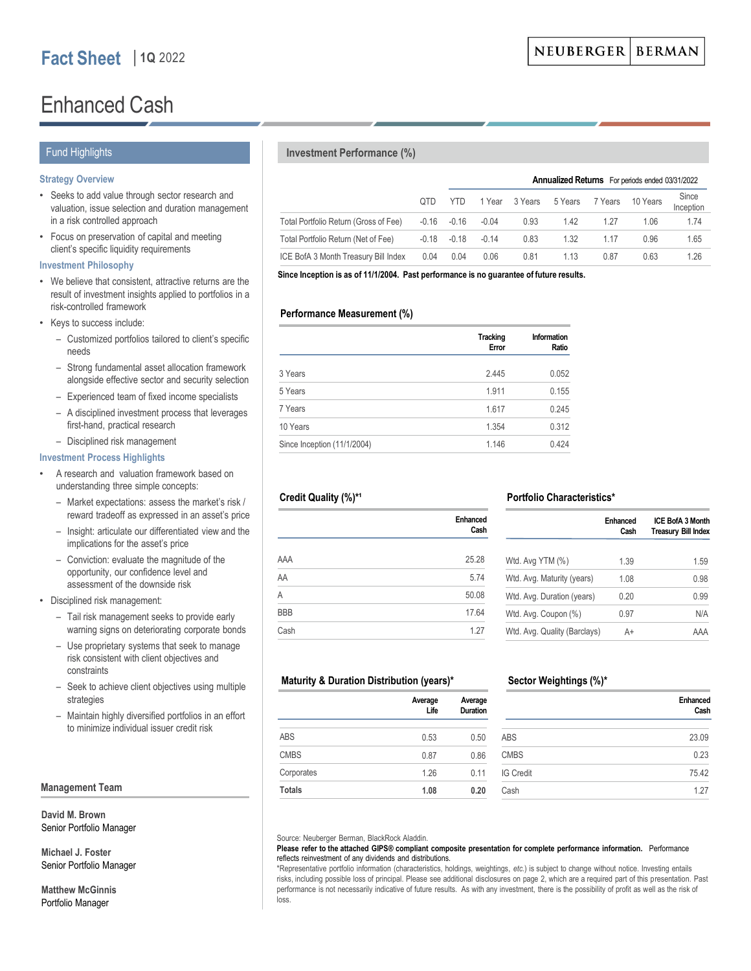# Enhanced Cash

## Fund Highlights

## **Strategy Overview**

- Seeks to add value through sector research and valuation, issue selection and duration management in a risk controlled approach
- Focus on preservation of capital and meeting client's specific liquidity requirements

## **Investment Philosophy**

- We believe that consistent, attractive returns are the result of investment insights applied to portfolios in a risk-controlled framework
- Keys to success include:
	- Customized portfolios tailored to client's specific needs
	- Strong fundamental asset allocation framework alongside effective sector and security selection
	- Experienced team of fixed income specialists
	- A disciplined investment process that leverages first-hand, practical research
	- Disciplined risk management

## **Investment Process Highlights**

- A research and valuation framework based on understanding three simple concepts:
	- Market expectations: assess the market's risk / reward tradeoff as expressed in an asset's price
	- Insight: articulate our differentiated view and the implications for the asset's price
	- Conviction: evaluate the magnitude of the opportunity, our confidence level and assessment of the downside risk
- Disciplined risk management:
	- Tail risk management seeks to provide early warning signs on deteriorating corporate bonds
	- Use proprietary systems that seek to manage risk consistent with client objectives and constraints
	- Seek to achieve client objectives using multiple strategies
	- Maintain highly diversified portfolios in an effort to minimize individual issuer credit risk

## **Management Team**

**David M. Brown** Senior Portfolio Manager

**Michael J. Foster** Senior Portfolio Manager

**Matthew McGinnis** Portfolio Manager

## **Investment Performance (%)**

|                                       |       | <b>Annualized Returns</b> For periods ended 03/31/2022 |         |         |         |         |          |                    |  |
|---------------------------------------|-------|--------------------------------------------------------|---------|---------|---------|---------|----------|--------------------|--|
|                                       | OTD.  | YTD.                                                   | 1 Year  | 3 Years | 5 Years | 7 Years | 10 Years | Since<br>Inception |  |
| Total Portfolio Return (Gross of Fee) |       | $-0.16 - 0.16$                                         | $-0.04$ | 0.93    | 1.42    | 1.27    | 1.06     | 1.74               |  |
| Total Portfolio Return (Net of Fee)   | -0.18 | $-0.18$                                                | $-0.14$ | 0.83    | 1.32    | 1 1 7   | 0.96     | 1.65               |  |
| ICE BofA 3 Month Treasury Bill Index  | 0.04  | 0.04                                                   | 0.06    | 0.81    | 1.13    | 0.87    | 0.63     | 1.26               |  |

**Since Inception is as of 11/1/2004. Past performance is no guarantee of future results.** 

## **Performance Measurement (%)**

|                             | <b>Tracking</b><br>Error | Information<br>Ratio |
|-----------------------------|--------------------------|----------------------|
| 3 Years                     | 2.445                    | 0.052                |
| 5 Years                     | 1.911                    | 0.155                |
| 7 Years                     | 1.617                    | 0.245                |
| 10 Years                    | 1.354                    | 0.312                |
| Since Inception (11/1/2004) | 1.146                    | 0.424                |

## Credit Quality (%)\*<sup>1</sup>

|            | Enhanced<br>Cash |
|------------|------------------|
| AAA        | 25.28            |
| AA         | 5.74             |
| A          | 50.08            |
| <b>BBB</b> | 17.64            |
| Cash       | 1.27             |

# **Portfolio Characteristics\***

|                              | <b>Fnhanced</b><br>Cash | ICE BofA 3 Month<br><b>Treasury Bill Index</b> |
|------------------------------|-------------------------|------------------------------------------------|
| Wtd. Avg YTM (%)             | 1.39                    | 1.59                                           |
| Wtd. Avg. Maturity (years)   | 1.08                    | 0.98                                           |
| Wtd. Avg. Duration (years)   | 0.20                    | 0.99                                           |
| Wtd. Avg. Coupon (%)         | 0.97                    | N/A                                            |
| Wtd. Avg. Quality (Barclays) | A+                      | AAA                                            |

## **Maturity & Duration Distribution (years)\***

|               | Average<br>Life | Average<br>Duration |
|---------------|-----------------|---------------------|
| <b>ABS</b>    | 0.53            | 0.50                |
| <b>CMBS</b>   | 0.87            | 0.86                |
| Corporates    | 1.26            | 0.11                |
| <b>Totals</b> | 1.08            | 0.20                |

# **Sector Weightings (%)\***

|                  | Enhanced<br>Cash |
|------------------|------------------|
| ABS              | 23.09            |
| <b>CMBS</b>      | 0.23             |
| <b>IG Credit</b> | 75.42            |
| Cash             | 1.27             |

Source: Neuberger Berman, BlackRock Aladdin.

#### **Please refer to the attached GIPS® compliant composite presentation for complete performance information.** Performance reflects reinvestment of any dividends and distributions.

\*Representative portfolio information (characteristics, holdings, weightings, *etc.*) is subject to change without notice. Investing entails risks, including possible loss of principal. Please see additional disclosures on page 2, which are a required part of this presentation. Past performance is not necessarily indicative of future results. As with any investment, there is the possibility of profit as well as the risk of loss.